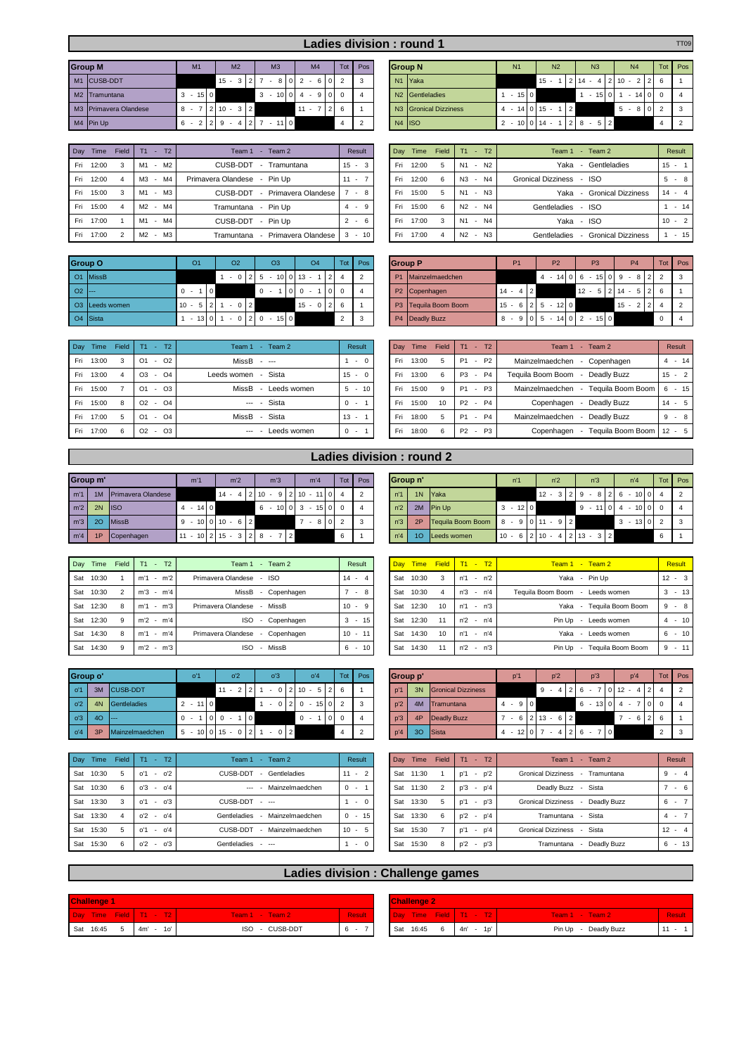| Ladies division: round 1<br><b>Group M</b><br><b>Group N</b><br>Tot<br>Tot<br>M <sub>2</sub><br>M <sub>3</sub><br>N <sub>2</sub><br>N <sub>3</sub><br>M <sub>4</sub><br>Pos<br>M <sub>1</sub><br>N <sub>4</sub><br>N <sub>1</sub> |                           |                             |     |               |                |              |  |                                                      |                |                |   |  |  | <b>TT09</b>                       |                |        |                 |                |                                |          |             |        |  |               |
|-----------------------------------------------------------------------------------------------------------------------------------------------------------------------------------------------------------------------------------|---------------------------|-----------------------------|-----|---------------|----------------|--------------|--|------------------------------------------------------|----------------|----------------|---|--|--|-----------------------------------|----------------|--------|-----------------|----------------|--------------------------------|----------|-------------|--------|--|---------------|
|                                                                                                                                                                                                                                   |                           |                             |     |               |                |              |  |                                                      |                |                |   |  |  |                                   |                |        |                 |                |                                |          |             |        |  |               |
|                                                                                                                                                                                                                                   |                           |                             |     |               |                |              |  |                                                      |                |                |   |  |  |                                   |                |        |                 |                |                                |          |             |        |  | Pos           |
|                                                                                                                                                                                                                                   | M1 CUSB-DDT               |                             |     | $15 -$<br>3 I | 2 <sub>1</sub> |              |  | $\begin{bmatrix} 0 & 2 \end{bmatrix}$<br>6<br>$\sim$ |                | $\overline{2}$ | 3 |  |  | N <sub>1</sub> Yaka               |                |        | $15 -$          |                | $2 \; 14 \; - \; 4 \;$         |          | $2 \t10 -$  | 2 2 6  |  |               |
|                                                                                                                                                                                                                                   | M <sub>2</sub> Tramuntana | $15$   0<br>3<br><b>COL</b> |     |               |                | $\mathbf{3}$ |  | $-10$ 0 4 $-$<br>9                                   |                |                |   |  |  | N <sub>2</sub> Gentleladies       |                | $15$ 0 |                 |                | 15<br>$\overline{\phantom{a}}$ | $\Omega$ | $\sim$      | $14$ 0 |  | $\mathbf{A}$  |
|                                                                                                                                                                                                                                   | M3 Primavera Olandese     | $8 -$                       |     | $10 -$        | 3 2            |              |  | $11 -$                                               | 2 <sup>1</sup> | 6              |   |  |  | N <sub>3</sub> Gronical Dizziness | $\overline{4}$ |        | $14$   0   15 - | $\overline{2}$ |                                |          | $-810$<br>5 |        |  | -3            |
|                                                                                                                                                                                                                                   | M4 Pin Up                 | 6                           | 2 2 | -9            |                | $-110$       |  |                                                      |                |                |   |  |  | $N4$ ISO                          | 2              |        | $-10$ 0 14 -    |                | $-5$ 2                         |          |             |        |  | $\mathcal{L}$ |

| Dav  | Time  | Field | T <sub>2</sub><br>T1<br>- 1 | Team 2<br>Team 1<br>$\sim$                                 | Result      | Dav | Time  | Field | $T1 - T2$          | Team 1 - Team 2          |                      | Result   |
|------|-------|-------|-----------------------------|------------------------------------------------------------|-------------|-----|-------|-------|--------------------|--------------------------|----------------------|----------|
| Fri  | 12:00 |       | - M2<br>M1                  | CUSB-DDT<br>Tramuntana                                     | $15 -$<br>3 | Fri | 12:00 | 5     | $- N2$<br>N1       | Yaka                     | - Gentleladies       | $15 - 1$ |
| Fri  | 12:00 |       | - M4<br>MЗ                  | Primavera Olandese - Pin Up                                | $11 -$      | Fri | 12:00 | 6     | N3 - N4            | Gronical Dizziness - ISO |                      | $5 - 8$  |
| Fri  | 15:00 |       | - M3<br>M1                  | Primavera Olandese<br>CUSB-DDT<br>$\overline{\phantom{a}}$ | 8           | Fri | 15:00 | 5     | N1 - N3            | Yaka                     | - Gronical Dizziness | $14 - 4$ |
| Fri. | 15:00 |       | M2 - M4                     | Tramuntana - Pin Up                                        | 9<br>$4 -$  | Fri | 15:00 | 6     | N2 - N4            | Gentleladies - ISO       |                      | $-1$     |
| Fri  | 17:00 |       | - M4<br>M1                  | CUSB-DDT - Pin Up                                          | $2 -$<br>6. | Fri | 17:00 | 3     | $-N4$<br>N1        | Yaka - ISO               |                      | $10 - 2$ |
| Fri. | 17:00 |       | - M3<br>M <sub>2</sub>      | - Primavera Olandese<br>Tramuntana                         | $3 - 10$    | Fri | 17:00 | 4     | N2<br>N3<br>$\sim$ | Gentleladies             | - Gronical Dizziness | $1 - 1$  |

|                              | <b>Group O</b>       | O <sub>1</sub> |                | O <sub>2</sub> | O <sub>3</sub>            |                | O <sub>4</sub> | Tot               | Pos |           | <b>Group P</b>       |              | <b>P1</b> | P <sub>2</sub>              | P <sub>3</sub>                                | P <sub>4</sub> |          | Tot Pos        |
|------------------------------|----------------------|----------------|----------------|----------------|---------------------------|----------------|----------------|-------------------|-----|-----------|----------------------|--------------|-----------|-----------------------------|-----------------------------------------------|----------------|----------|----------------|
|                              | O1 MissB             |                |                |                | $-0$  2 5 $-10$  0 13 $-$ |                | 2              |                   |     | <b>P1</b> | Mainzelmaedchen      |              |           |                             | $4 - 14$   0   6 $- 15$   0   9 $- 8$   2   2 |                |          | $\mathbf{3}$   |
| $O2$ $\left  \cdots \right $ |                      | $0 -$          | $\overline{0}$ |                | $\Omega$                  | 0 <sub>0</sub> |                | l o l<br>$\Omega$ |     |           | P2 Copenhagen        | $14 - 4$   2 |           |                             | $12 - 5$   2   14 - 5   2   6                 |                |          |                |
|                              | O3 Leeds women       | $10 - 5$       | $2^{\prime}$   | $-0$  2        |                           |                | $15 - 0$ 2 6   |                   |     |           | P3 Tequila Boom Boom |              |           | $15 - 6$   2   5 $- 12$   0 |                                               | $15 - 212$     |          | $\overline{2}$ |
|                              | O <sub>4</sub> Sista | $-1310$        |                | $-0$  2 0      | $15$ 0                    |                |                | $\mathcal{D}$     |     |           | P4 Deadly Buzz       |              |           |                             | $8 - 9$ 0 5 - 14 0 2 - 15 0                   |                | $\Omega$ |                |

| Day  | Time  | Field | T2<br>Τ1                             | Team 2<br>Team $1 -$ | Result   | Day | Time  | Field | T1             | $- T2$                | $-$ Team 2<br>Team 1                 | Result     |
|------|-------|-------|--------------------------------------|----------------------|----------|-----|-------|-------|----------------|-----------------------|--------------------------------------|------------|
| Fri  | 13:00 |       | $-$ 02<br>O <sub>1</sub>             | $MissB - -$          | $\sim$ 0 | Fri | 13:00 | 5     | <b>P1</b>      | P2<br>$\sim$          | Mainzelmaedchen<br>Copenhagen        | $4 - 14$   |
| Fri. | 13:00 |       | $-$ O <sub>4</sub><br>O <sub>3</sub> | Leeds women - Sista  | $15 - 0$ | Fri | 13:00 | 6     | P <sub>3</sub> | P <sub>4</sub><br>. . | Teguila Boom Boom<br>- Deadly Buzz   | $15 - 2$   |
| Fri  | 15:00 |       | $-$ 03<br>O <sub>1</sub>             | MissB<br>Leeds women | $5 - 10$ | Fri | 15:00 | 9     | <b>P1</b>      | P3<br>$\sim$          | Mainzelmaedchen<br>Teguila Boom Boom | $-15$<br>6 |
| Fri. | 15:00 |       | $ \Omega$ 4<br>O <sub>2</sub>        | --- - Sista          | $0 -$    | Fri | 15:00 | 10    | $P2 -$         | <b>P4</b>             | Deadly Buzz<br>Copenhagen            | $14 - 5$   |
| Fri  | 17:00 |       | $-$ 04<br>O <sub>1</sub>             | MissB - Sista        | $13 -$   | Fri | 18:00 | 5     | P1 -           | <b>P4</b>             | Mainzelmaedchen<br>Deadly Buzz       | $9 - 8$    |
| Fri. | 17:00 |       | $-$ 03<br>O2                         | Leeds women<br>---   | $0 -$    | Fri | 18:00 | 6     | P2 -           | <b>P3</b>             | Teguila Boom Boom<br>Copenhagen      | $12 - 5$   |

| M4 Pin Up |       |                        | $-4$   2   7 $-$ 11   0<br>2 2 9<br>6 - |                      |          | $\overline{2}$ |     | $N4$ ISO |            |           |                  | $2 - 10$ 0 14 - 1 |                          |      | $28 - 52$            |  |   | $\overline{2}$ |
|-----------|-------|------------------------|-----------------------------------------|----------------------|----------|----------------|-----|----------|------------|-----------|------------------|-------------------|--------------------------|------|----------------------|--|---|----------------|
|           |       |                        |                                         |                      |          |                |     |          |            |           |                  |                   |                          |      |                      |  |   |                |
| Day Time  | Field | T2<br>T1<br>н.         | Team 1 - Team 2                         |                      | Result   |                | Day | Time     | Field      | $T1 - T2$ |                  |                   |                          |      | Team 1 - Team 2      |  |   | Result         |
| Fri 12:00 | 3     | - M2<br>M1             | CUSB-DDT<br>$\sim 10^{-11}$             | Tramuntana           | $15 - 3$ |                | Fri | 12:00    | $\sqrt{5}$ | N1        | - N <sub>2</sub> |                   |                          | Yaka | - Gentleladies       |  |   | $15 -$         |
| Fri 12:00 | -4    | - M4<br>MЗ             | Primavera Olandese - Pin Up             |                      | $11 -$   |                | Fri | 12:00    | - 6        | N3        | $- N4$           |                   | Gronical Dizziness - ISO |      |                      |  | 5 | $-8$           |
| Fri 15:00 |       | $-M3$<br>M1            | CUSB-DDT                                | - Primavera Olandese |          | $-8$           | Fri | 15:00    | -5         | N1        | $- N3$           |                   |                          | Yaka | - Gronical Dizziness |  |   | $14 - 4$       |
| Fri 15:00 |       | - M4<br>M <sub>2</sub> | Tramuntana - Pin Up                     |                      | 4        | - 9            | Fri | 15:00    | 6          | N2        | - N4             |                   | Gentleladies - ISO       |      |                      |  |   | $-14$          |

|         | G arou                     | O <sub>1</sub>           | O <sub>2</sub> | O <sub>3</sub>       | O <sub>4</sub>       | Tot           | Pos | <b>Group P</b> |                      | P <sub>1</sub> | P <sub>2</sub>   | <b>P3</b>           | <b>P4</b>       | Tot        | Pos            |
|---------|----------------------------|--------------------------|----------------|----------------------|----------------------|---------------|-----|----------------|----------------------|----------------|------------------|---------------------|-----------------|------------|----------------|
|         | O1 MissB                   |                          | $-0$           | $2 \mid 5$           | $10 0 13 -$          |               | 2   | P <sub>1</sub> | Mainzelmaedchen      |                | $4 - 1400$       | $15 0 9 -$<br>- 6   | 8 2             |            | -3             |
| 02 I--- |                            | $\overline{0}$<br>$0 -$  |                | $^{\circ}$           | $\Omega$<br>$\Omega$ |               | 4   |                | P2 Copenhagen        | $14 - 4$   2   |                  | $12 - 5$   2   14 - | $5 \mid 2 \mid$ |            |                |
|         | O <sub>3</sub> Leeds women | $10 -$<br>5              | $-0$ 2         |                      | $15 - 0$   2   6     |               |     |                | P3 Tequila Boom Boom | $15 - 6$  2    | $-120$           |                     | $15 -$          |            | $\overline{2}$ |
|         | O <sub>4</sub> Sista       | $13$ 0<br><b>COLLEGE</b> |                | 150<br>$-0$  2 0 $-$ |                      | $\mathcal{D}$ | 3   |                | P4 Deadly Buzz       | $8 -$          | $9 0 5 - 14 0 2$ | $15$   0            |                 | $^{\circ}$ |                |

Fri 17:00 4 N2 - N3 Gentleladies - Gronical Dizziness 1 - 15

| Day Time  | Field | T2<br>T <sub>1</sub>             | Team 2<br>Team 1<br>$\sim$                       | Result             | Day | Time  | Field | T2<br>T1                                 | Team 2<br>Team 1<br><b>COL</b>           | Result     |
|-----------|-------|----------------------------------|--------------------------------------------------|--------------------|-----|-------|-------|------------------------------------------|------------------------------------------|------------|
| Fri 13:00 |       | O <sub>2</sub><br>O <sub>1</sub> | $MissB - -$                                      | $-0$               | Fri | 13:00 | 5     | <b>P2</b><br>P1<br>$\sim$                | Mainzelmaedchen<br>Copenhagen            | $-14$<br>4 |
| Fri 13:00 |       | $-$ 04<br>O <sub>3</sub>         | Leeds women<br>Sista<br>$\overline{\phantom{a}}$ | $15 -$<br>$\Omega$ | Fri | 13:00 | 6     | P <sub>4</sub><br>P <sub>3</sub><br>. п. | Teguila Boom Boom<br>Deadly Buzz         | $15 - 2$   |
| Fri 15:00 |       | O <sub>3</sub><br>O <sub>1</sub> | MissB<br>Leeds women                             | 10<br>$5 -$        | Fri | 15:00 | 9     | P <sub>3</sub><br>P1 -                   | Mainzelmaedchen<br>Teguila Boom Boom     | $-15$<br>6 |
| Fri 15:00 | 8     | $-$ 04<br>O <sub>2</sub>         | --- - Sista                                      | $0 -$              | Fri | 15:00 | 10    | <b>P2</b><br>$-$ P4                      | Deadly Buzz<br>Copenhagen                | $14 - 5$   |
| Fri 17:00 |       | $-$ 04<br>O <sub>1</sub>         | Sista<br>MissB<br>$\sim$                         | $13 -$             | Fri | 18:00 | 5     | $- P4$<br>P1                             | Mainzelmaedchen<br>Deadly Buzz           | $-8$<br>9  |
| Fri 17:00 | 6     | O <sub>3</sub><br>O <sub>2</sub> | Leeds women<br>$---$                             | $0 -$              | Fri | 18:00 | 6     | $-$ P3<br>P <sub>2</sub>                 | Tequila Boom Boom   12 - 5<br>Copenhagen |            |

## **Ladies division : round 2**

| Group m'         |    |                    |    | m'1     |  | m <sup>2</sup>         |     | m'3 |                | m'4                            | Tot | Pos | Group n'       |                 |                          | n'1                                    |      | n <sup>2</sup> |  | n <sup>3</sup> | n'4                                          | Tot Pos |                          |
|------------------|----|--------------------|----|---------|--|------------------------|-----|-----|----------------|--------------------------------|-----|-----|----------------|-----------------|--------------------------|----------------------------------------|------|----------------|--|----------------|----------------------------------------------|---------|--------------------------|
| m <sup>1</sup>   |    | Primavera Olandese |    |         |  | $14 - 4$   2   10 -    |     | 91  |                | $2 \mid 10 - 11 \mid 0 \mid 4$ |     |     | n'1            |                 | 1N Yaka                  |                                        |      |                |  |                | $12 - 3$   2   9 $-$ 8   2   6 $-$<br>10   0 |         | $^{\circ}$ 2             |
| m <sup>2</sup>   | 2N | <b>IISO</b>        | -4 | $-1400$ |  |                        | 6 - |     |                | $10 0 3 - 15 0 0$              |     |     | n <sup>2</sup> | 2M              | <b>IPin Up</b>           |                                        | 12 0 |                |  |                | $9 - 1104 - 10000$                           |         | $\overline{4}$           |
| m <sup>3</sup>   | 20 | <b>MissB</b>       |    |         |  | $9 - 100110 - 62$      |     |     |                | $-8$ 0 2                       |     |     | n <sup>3</sup> | 2P              | <b>Tequila Boom Boom</b> | $8 - 910111 - 912$                     |      |                |  |                | $3 - 130$                                    |         | $\overline{\phantom{a}}$ |
| m <sup>1</sup> 4 | 1P | Copenhagen         |    |         |  | $11 - 10$ 2 15 - 3 2 8 |     |     | $\overline{2}$ |                                | 6   |     | n'4            | 10 <sup>°</sup> | Leeds women              | $10 - 6$   2   10 - 4   2   13 - 3   2 |      |                |  |                |                                              | 6       |                          |

| Day | Time  | Field | T2<br>T1<br>$\sim$              | Team 2<br>Team 1 -                                   | Result                   | Dav |       |    | Time Field T1 - T2        | $Team 1 - Team 2$                                            | Result   |
|-----|-------|-------|---------------------------------|------------------------------------------------------|--------------------------|-----|-------|----|---------------------------|--------------------------------------------------------------|----------|
| Sat | 10:30 |       | $-m'2$<br>m <sup>1</sup>        | Primavera Olandese<br><b>ISO</b>                     | $14 - 4$                 | Sat | 10:30 | 3  | n <sup>1</sup><br>$- n'2$ | - Pin Up<br>Yaka                                             | $12 - 3$ |
| Sat | 10:30 |       | m'3<br>$-m'4$                   | MissB<br>Copenhagen<br>$\overline{\phantom{a}}$      | -8<br>$7 -$              | Sat | 10:30 | 4  | n'3<br>$- n'4$            | Teguila Boom Boom<br>Leeds women<br>$\overline{\phantom{a}}$ | $3 - 13$ |
| Sat | 12:30 |       | m'3<br>m <sup>1</sup><br>$\sim$ | Primavera Olandese<br>MissB                          | $10 -$<br>-9             | Sat | 12:30 | 10 | n <sup>1</sup><br>$- n'3$ | Tequila Boom Boom<br>Yaka                                    | - 8<br>9 |
| Sat | 12:30 |       | $m'2 - m'4$                     | <b>ISO</b><br>Copenhagen<br>$\overline{\phantom{a}}$ | $3 - 15$                 | Sat | 12:30 | 11 | $n'2 - n'4$               | Pin Up<br>Leeds women<br>$\overline{\phantom{a}}$            | $4 - 10$ |
| Sat | 14:30 |       | $-m'4$<br>m <sup>1</sup>        | Primavera Olandese<br>Copenhagen                     | $10 - 11$                | Sat | 14:30 | 10 | n'1<br>- n'4              | Yaka<br>Leeds women<br>$\overline{\phantom{a}}$              | $6 - 10$ |
| Sat | 14:30 |       | m <sup>2</sup><br>$-m2$         | - MissB<br><b>ISO</b>                                | 10 <sup>1</sup><br>$6 -$ | Sat | 14:30 | 11 | n'2<br>$- n'3$            | Tequila Boom Boom<br>Pin Up<br>$\overline{\phantom{a}}$      | $9 - 11$ |

| Group o'       |          |                 | o'1       |  | 0 <sup>2</sup>    |              | O <sup>2</sup> | O <sup>2</sup>     |                  |              | Tot Pos | Group p' |                 |                           |   | p'1 |                | p'2                   | p'3 |                | p'4                                                     |       | Tot Pos                    |
|----------------|----------|-----------------|-----------|--|-------------------|--------------|----------------|--------------------|------------------|--------------|---------|----------|-----------------|---------------------------|---|-----|----------------|-----------------------|-----|----------------|---------------------------------------------------------|-------|----------------------------|
| o'1            | 3M       | <b>CUSB-DDT</b> |           |  | $11 - 2$   2   1  |              |                | $-0$ 2 10 $-5$ 2 6 |                  |              |         | p'1      | 3N              | <b>Gronical Dizziness</b> |   |     |                | 9 -                   |     |                | $4 2 6 - 7 0 12 - 4$                                    |       | $\overline{2}$             |
| o <sup>2</sup> | 4N       | Gentleladies    | $2 - 110$ |  |                   |              |                | $0 2 0 - 15 0 2$   |                  |              | $\sim$  | p'2      |                 | 4M Tramuntana             |   |     | 9 <sub>0</sub> |                       |     |                | $6 - 13 \begin{bmatrix} 0 & 4 & -7 & 0 \end{bmatrix}$ 0 |       | $\overline{a}$             |
| $^{\circ}$ 0'3 | $40$ --- |                 | $0 - 1$   |  | 0 O               | $\mathbf{0}$ |                | <b>"</b> 0 -       | $\overline{101}$ |              |         | D'3      | 4P              | Deadly Buzz               |   |     |                | $6 2 13 - 6 2$        |     |                | $-6$                                                    | $2$ 6 |                            |
| o'4            | 3P       | Mainzelmaedchen | $5 -$     |  | $10 0 15 - 0 2 1$ |              | $-0$  2        |                    |                  | $\mathbf{A}$ |         | p'4      | 30 <sup>°</sup> | Sista                     | 4 |     |                | $-12$ 0 7 - 4 2 6 - 7 |     | $\overline{0}$ |                                                         |       | $\overline{\phantom{a}}$ 3 |

| Day | Time  | <b>Field</b> | T <sub>2</sub><br>T1.                   | Team 2<br>Team 1<br>$\sim$         | Result                            | Day<br>Time  | <b>Field</b>   | T2<br>T1<br><b>F</b> | Team 2<br>Team 1                         | Result     |
|-----|-------|--------------|-----------------------------------------|------------------------------------|-----------------------------------|--------------|----------------|----------------------|------------------------------------------|------------|
| Sat | 10:30 |              | o'2<br>o <sup>'</sup> 1<br>$\sim$       | CUSB-DDT<br>Gentleladies           | $11 -$                            | Sat<br>11:30 |                | D'1<br>p'2           | <b>Gronical Dizziness</b><br>Tramuntana  | 9<br>- 4   |
| Sat | 10:30 |              | O <sup>3</sup><br>$-$ 0 <sup>'4</sup>   | Mainzelmaedchen<br>---             | $0 -$                             | 11:30<br>Sat | $\overline{2}$ | p'3<br>p'4           | Deadly Buzz<br>Sista                     | - 6        |
| Sat | 13:30 |              | $- 0'3$<br>O <sup>'</sup> 1             | CUSB-DDT<br>$\cdots$               | $\Omega$<br>$\sim$                | 13:30<br>Sat | 5              | D'1<br>p'3           | <b>Gronical Dizziness</b><br>Deadly Buzz | 6<br>- 1   |
| Sat | 13:30 |              | 0 <sup>2</sup><br>$-$ 0 <sup>'4</sup>   | Gentleladies<br>Mainzelmaedchen    | 15<br>$0 -$                       | 13:30<br>Sat | 6              | p'2<br>$-p'4$        | Sista<br>Tramuntana                      | $4 - 7$    |
| Sat | 15:30 |              | $-$ 0 <sup>'4</sup><br>O <sup>'</sup> 1 | <b>CUSB-DDT</b><br>Mainzelmaedchen | $10 -$<br>5                       | 15:30<br>Sat |                | D'1<br>p'4<br>$\sim$ | <b>Gronical Dizziness</b><br>- Sista     | $12 - 4$   |
| Sat | 15:30 |              | $- 0'3$<br>0 <sup>2</sup>               | Gentleladies<br>$ -$               | $\overline{\mathbf{0}}$<br>$\sim$ | 15:30<br>Sat | 8              | p'2<br>p'3           | Deadly Buzz<br>Tramuntana                | $-13$<br>6 |

| Group m'     |                           | m'1                                        | m <sup>2</sup>      | m <sup>3</sup> | m'4             | Tot            | Pos            |                | Group n'        |                   | n'1                   | n <sup>2</sup>           | n <sup>3</sup> | n'4                      |   | Tot Pos        |
|--------------|---------------------------|--------------------------------------------|---------------------|----------------|-----------------|----------------|----------------|----------------|-----------------|-------------------|-----------------------|--------------------------|----------------|--------------------------|---|----------------|
| m'1<br>1M    | <b>Primavera Olandese</b> |                                            | $14 - 4$   2   10 - |                | $9 2 10 - 11 0$ |                | $\overline{2}$ | n'1            |                 | 1N Yaka           |                       | $\overline{2}$<br>$12 -$ | 8<br>-9        | $2 \ 6 -$<br>10 <b>0</b> |   | $\overline{2}$ |
| $m2$ 2N      | <b>IISO</b>               | $4 - 140$                                  |                     | $6 - 10003$    | $-15$ 0 0       |                | 4              | n'2            |                 | 2M Pin Up         | $12$ 0<br>3<br>$\sim$ |                          | -9             | 10000<br>$ 0 $ 4 -       |   | $\overline{4}$ |
| m'3 20 MissB |                           | $9 - 1010110 - 612$                        |                     |                | $7 - 810$       | $\overline{2}$ | 3              | n <sup>3</sup> | 2P              | Tequila Boom Boom |                       | $8 - 9$ 0 11 - 9 2       |                | $3 - 130$                |   | $\mathbf{3}$   |
| $m'$ 4<br>1P | Copenhagen                | $11 - 10 \mid 2 \mid 15 - 3 \mid 2 \mid 8$ |                     | 2              |                 | 6              |                | n'4            | 10 <sup>1</sup> | Leeds women       | $10 - 6$   2   10 -   |                          | 2<br>$2 13 -$  |                          | 6 |                |

|     |           |    | Day Time Field T1 - T2 | Team $1 -$ Team $2$                                     | <b>Result</b> |
|-----|-----------|----|------------------------|---------------------------------------------------------|---------------|
|     | Sat 10:30 | 3  | $n'1 - n'2$            | Yaka - Pin Up                                           | $12 - 3$      |
|     | Sat 10:30 | 4  | $n'3 - n'4$            | Tequila Boom Boom - Leeds women                         | 3<br>$-13$    |
|     | Sat 12:30 | 10 | $- n'3$<br>n'1         | Yaka - Tequila Boom Boom                                | 9<br>-8<br>ä, |
| Sat | 12:30     | 11 | $n'2 - n'4$            | Leeds women<br>Pin Up<br>$\overline{\phantom{a}}$       | 10<br>٠       |
| Sat | 14:30     | 10 | $n'1 - n'4$            | Leeds women<br>Yaka<br>$\overline{\phantom{a}}$         | $-10$<br>6    |
| Sat | 14:30     | 11 | $n'2 - n'3$            | Tequila Boom Boom<br>Pin Up<br>$\overline{\phantom{a}}$ | 9<br>11<br>٠  |

| iroup o' |       | o <sup>'</sup> 1 | o <sup>2</sup>              | O <sup>2</sup> | O <sup>2</sup>             | Tot                        | Pos | Group p' |     | p'1 | p'2                       | p'3             | p'4                        | Tot                                               | Pos            |               |                |
|----------|-------|------------------|-----------------------------|----------------|----------------------------|----------------------------|-----|----------|-----|-----|---------------------------|-----------------|----------------------------|---------------------------------------------------|----------------|---------------|----------------|
|          | 3M    | <b>CUSB-DDT</b>  |                             | 11             | $\overline{0}$             | 2<br>$2 \times 10$ -<br>51 |     |          | p'1 | 3N  | <b>Gronical Dizziness</b> |                 | 9                          | $\sim$                                            | $12 -$<br>4 2  |               | $\overline{2}$ |
| 0'2      |       | 4N Gentleladies  | $2 - 110$                   |                | $-0$                       | $15$ 0<br>$20 -$           |     | 3        | p'2 | 4M  | Tramuntana                | 900<br>$4 -$    |                            | $6 - 13 \begin{array}{ c c c } 0 & 4 \end{array}$ | $\overline{0}$ |               |                |
| 0'3      | $-40$ |                  | 0 0<br>$0 -$                |                |                            | $0 -$                      |     |          | p'3 | 4P  | Deadly Buzz               |                 | $7 - 6$   2   13 $- 6$   2 |                                                   | $-6$  2        |               |                |
| 0'4      | 3P    | Mainzelmaedchen  | $10 0 15 -$<br>$\mathbf{b}$ | $\mathbf{0}$   | $\overline{2}$<br>$\Omega$ |                            |     | $\gamma$ | p'4 |     | 30 Sista                  | $12$ 0<br>$4 -$ | $4 \mid 2 \mid 6$          | $\mathbf{0}$<br>$\sim$                            |                | $\mathcal{L}$ | 3              |

| Day | Time      | Field          | $-$ T <sub>2</sub><br>4T17             | $-$ Team 2<br>Team 1                                  | <b>Result</b>             |
|-----|-----------|----------------|----------------------------------------|-------------------------------------------------------|---------------------------|
|     | Sat 11:30 | 1              | $-p'2$<br>p'1                          | Gronical Dizziness - Tramuntana                       | 9<br>٠                    |
| Sat | 11:30     | $\overline{2}$ | D'3<br>p'4<br>۰.                       | Deadly Buzz<br>- Sista                                | - 6<br>٠                  |
| Sat | 13:30     | 5              | p'3<br>p'1<br>$\sim$                   | <b>Gronical Dizziness</b><br>Deadly Buzz<br>$\sim$    | 6<br>٠                    |
| Sat | 13:30     | 6              | $-p'4$<br>p'2                          | Tramuntana<br>Sista<br>$\sim$                         | 4<br>٠                    |
| Sat | 15:30     | $\overline{7}$ | $-p'4$<br>p'1                          | <b>Gronical Dizziness</b><br>- Sista                  | 12<br>$\overline{a}$<br>٠ |
| Sat | 15:30     | 8              | p'3<br>p'2<br>$\overline{\phantom{a}}$ | Deadly Buzz<br>Tramuntana<br>$\overline{\phantom{a}}$ | 6<br>13<br>٠              |

## **Ladies division : Challenge games**

| <b>Challenge 1</b>       |            |                          | <b>Challenge 2</b> |     |            |                          |                         |               |  |  |  |
|--------------------------|------------|--------------------------|--------------------|-----|------------|--------------------------|-------------------------|---------------|--|--|--|
| Day Time Field   T1 - T2 |            | Team 1 - Team 2          | <b>Result</b>      |     |            | Day Time Field   T1 - T2 | Team 1 - Team 2         | <b>Result</b> |  |  |  |
| Sat 16:45                | 4m'<br>10' | <b>ISO</b><br>- CUSB-DDT |                    | Sat | 16:45<br>6 | 4n'<br>$-1p'$            | - Deadly Buzz<br>Pin Up | -11           |  |  |  |